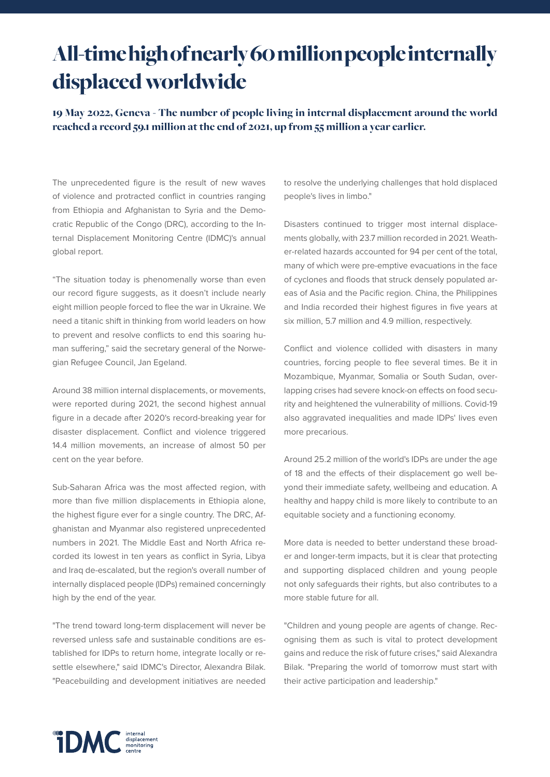## All-time high of nearly 60 million people internally displaced worldwide

19 May 2022, Geneva - The number of people living in internal displacement around the world reached a record 59.1 million at the end of 2021, up from 55 million a year earlier.

The unprecedented figure is the result of new waves of violence and protracted conflict in countries ranging from Ethiopia and Afghanistan to Syria and the Democratic Republic of the Congo (DRC), according to the Internal Displacement Monitoring Centre (IDMC)'s annual global report.

"The situation today is phenomenally worse than even our record figure suggests, as it doesn't include nearly eight million people forced to flee the war in Ukraine. We need a titanic shift in thinking from world leaders on how to prevent and resolve conflicts to end this soaring human suffering," said the secretary general of the Norwegian Refugee Council, Jan Egeland.

Around 38 million internal displacements, or movements, were reported during 2021, the second highest annual figure in a decade after 2020's record-breaking year for disaster displacement. Conflict and violence triggered 14.4 million movements, an increase of almost 50 per cent on the year before.

Sub-Saharan Africa was the most affected region, with more than five million displacements in Ethiopia alone, the highest figure ever for a single country. The DRC, Afghanistan and Myanmar also registered unprecedented numbers in 2021. The Middle East and North Africa recorded its lowest in ten years as conflict in Syria, Libya and Iraq de-escalated, but the region's overall number of internally displaced people (IDPs) remained concerningly high by the end of the year.

"The trend toward long-term displacement will never be reversed unless safe and sustainable conditions are established for IDPs to return home, integrate locally or resettle elsewhere," said IDMC's Director, Alexandra Bilak. "Peacebuilding and development initiatives are needed

to resolve the underlying challenges that hold displaced people's lives in limbo."

Disasters continued to trigger most internal displacements globally, with 23.7 million recorded in 2021. Weather-related hazards accounted for 94 per cent of the total, many of which were pre-emptive evacuations in the face of cyclones and floods that struck densely populated areas of Asia and the Pacific region. China, the Philippines and India recorded their highest figures in five years at six million, 5.7 million and 4.9 million, respectively.

Conflict and violence collided with disasters in many countries, forcing people to flee several times. Be it in Mozambique, Myanmar, Somalia or South Sudan, overlapping crises had severe knock-on effects on food security and heightened the vulnerability of millions. Covid-19 also aggravated inequalities and made IDPs' lives even more precarious.

Around 25.2 million of the world's IDPs are under the age of 18 and the effects of their displacement go well beyond their immediate safety, wellbeing and education. A healthy and happy child is more likely to contribute to an equitable society and a functioning economy.

More data is needed to better understand these broader and longer-term impacts, but it is clear that protecting and supporting displaced children and young people not only safeguards their rights, but also contributes to a more stable future for all.

"Children and young people are agents of change. Recognising them as such is vital to protect development gains and reduce the risk of future crises," said Alexandra Bilak. "Preparing the world of tomorrow must start with their active participation and leadership."